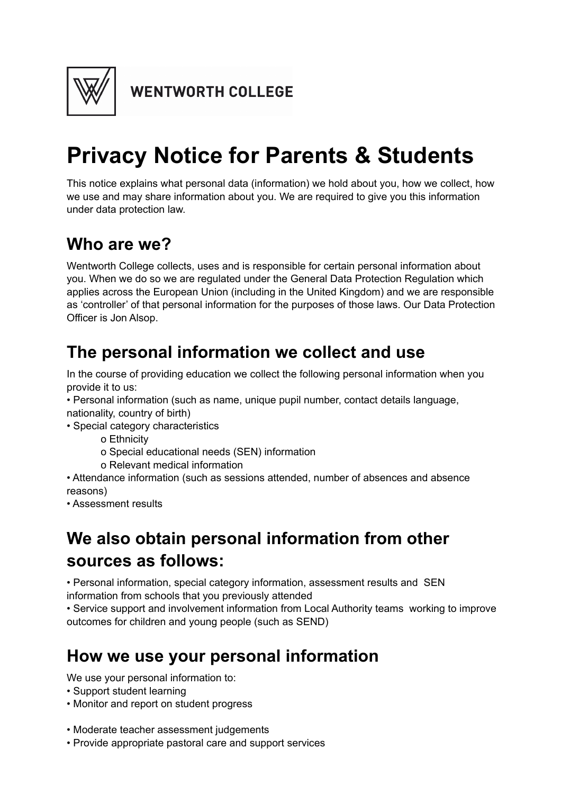

**WENTWORTH COLLEGE** 

# **Privacy Notice for Parents & Students**

This notice explains what personal data (information) we hold about you, how we collect, how we use and may share information about you. We are required to give you this information under data protection law.

#### **Who are we?**

Wentworth College collects, uses and is responsible for certain personal information about you. When we do so we are regulated under the General Data Protection Regulation which applies across the European Union (including in the United Kingdom) and we are responsible as 'controller' of that personal information for the purposes of those laws. Our Data Protection Officer is Jon Alsop.

### **The personal information we collect and use**

In the course of providing education we collect the following personal information when you provide it to us:

• Personal information (such as name, unique pupil number, contact details language, nationality, country of birth)

• Special category characteristics

o Ethnicity

- o Special educational needs (SEN) information
- o Relevant medical information

• Attendance information (such as sessions attended, number of absences and absence reasons)

• Assessment results

## **We also obtain personal information from other sources as follows:**

• Personal information, special category information, assessment results and SEN information from schools that you previously attended

• Service support and involvement information from Local Authority teams working to improve outcomes for children and young people (such as SEND)

## **How we use your personal information**

We use your personal information to:

- Support student learning
- Monitor and report on student progress
- Moderate teacher assessment judgements
- Provide appropriate pastoral care and support services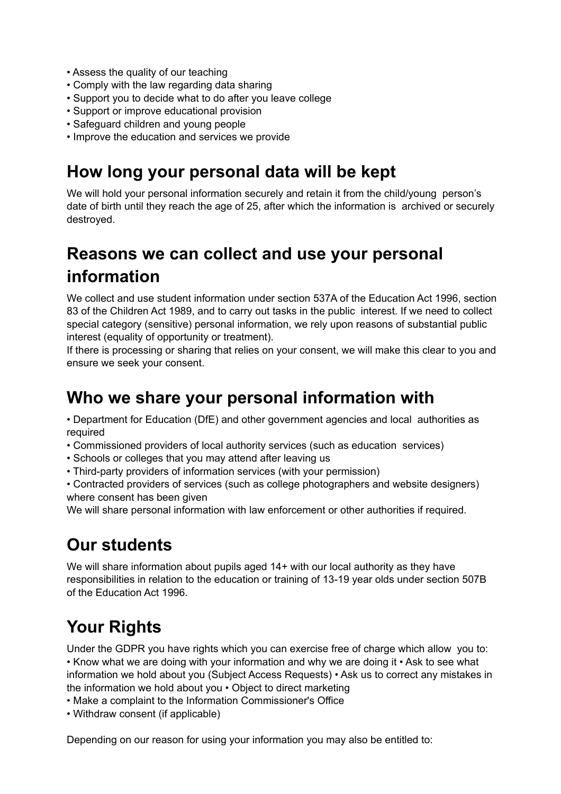- Assess the quality of our teaching
- Comply with the law regarding data sharing
- Support you to decide what to do after you leave college
- Support or improve educational provision
- Safeguard children and young people
- Improve the education and services we provide

#### **How long your personal data will be kept**

We will hold your personal information securely and retain it from the child/young person's date of birth until they reach the age of 25, after which the information is archived or securely destroyed.

## **Reasons we can collect and use your personal information**

We collect and use student information under section 537A of the Education Act 1996, section 83 of the Children Act 1989, and to carry out tasks in the public interest. If we need to collect special category (sensitive) personal information, we rely upon reasons of substantial public interest (equality of opportunity or treatment).

If there is processing or sharing that relies on your consent, we will make this clear to you and ensure we seek your consent.

#### **Who we share your personal information with**

• Department for Education (DfE) and other government agencies and local authorities as required

- Commissioned providers of local authority services (such as education services)
- Schools or colleges that you may attend after leaving us
- Third-party providers of information services (with your permission)

• Contracted providers of services (such as college photographers and website designers) where consent has been given

We will share personal information with law enforcement or other authorities if required.

#### **Our students**

We will share information about pupils aged 14+ with our local authority as they have responsibilities in relation to the education or training of 13-19 year olds under section 507B of the Education Act 1996.

# **Your Rights**

Under the GDPR you have rights which you can exercise free of charge which allow you to: • Know what we are doing with your information and why we are doing it • Ask to see what information we hold about you (Subject Access Requests) • Ask us to correct any mistakes in the information we hold about you • Object to direct marketing

- Make a complaint to the Information Commissioner's Office
- Withdraw consent (if applicable)

Depending on our reason for using your information you may also be entitled to: